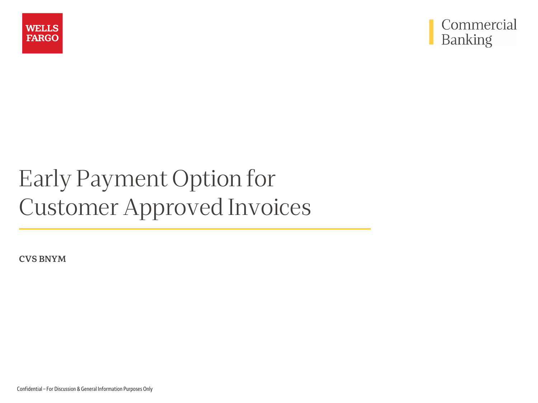



# Early Payment Option for Customer Approved Invoices

**CVS BNYM**

Confidential – For Discussion & General Information Purposes Only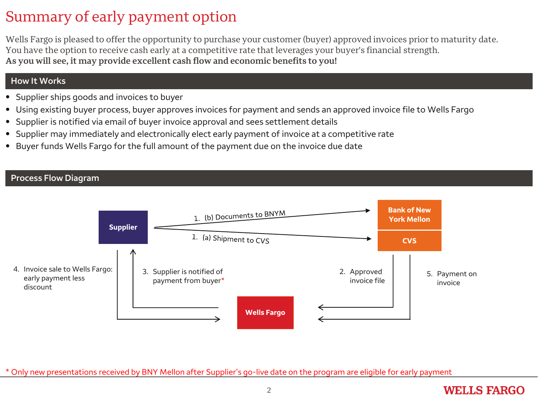# Summary of early payment option

Wells Fargo is pleased to offer the opportunity to purchase your customer (buyer) approved invoices prior to maturity date. You have the option to receive cash early at a competitive rate that leverages your buyer's financial strength. **As you will see, it may provide excellent cash flow and economic benefits to you!**

#### **How It Works**

- Supplier ships goods and invoices to buyer
- Using existing buyer process, buyer approves invoices for payment and sends an approved invoice file to Wells Fargo
- Supplier is notified via email of buyer invoice approval and sees settlement details
- Supplier may immediately and electronically elect early payment of invoice at a competitive rate
- Buyer funds Wells Fargo for the full amount of the payment due on the invoice due date

#### **Process Flow Diagram**



\* Only new presentations received by BNY Mellon after Supplier's go-live date on the program are eligible for early payment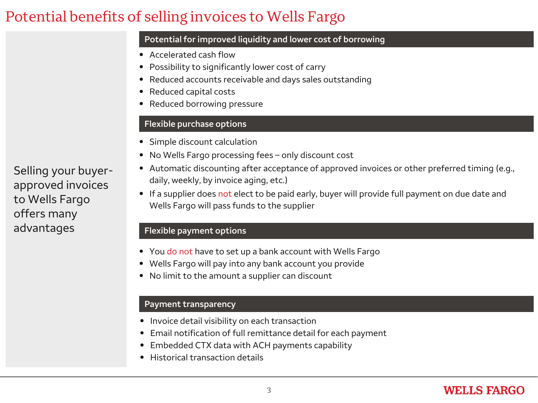# Potential benefits of selling invoices to Wells Fargo

#### **Potential for improved liquidity and lower cost of borrowing**

- Accelerated cash flow
- Possibility to significantly lower cost of carry
- Reduced accounts receivable and days sales outstanding
- Reduced capital costs
- Reduced borrowing pressure

#### **Flexible purchase options**

- Simple discount calculation
- No Wells Fargo processing fees only discount cost
- Automatic discounting after acceptance of approved invoices or other preferred timing (e.g., daily, weekly, by invoice aging, etc.)
- If a supplier does not elect to be paid early, buyer will provide full payment on due date and Wells Fargo will pass funds to the supplier

#### **Flexible payment options**

- You do not have to set up a bank account with Wells Fargo
- Wells Fargo will pay into any bank account you provide
- No limit to the amount a supplier can discount

#### **Payment transparency**

- Invoice detail visibility on each transaction
- Email notification of full remittance detail for each payment
- Embedded CTX data with ACH payments capability
- Historical transaction details

Selling your buyerapproved invoices to Wells Fargo offers many advantages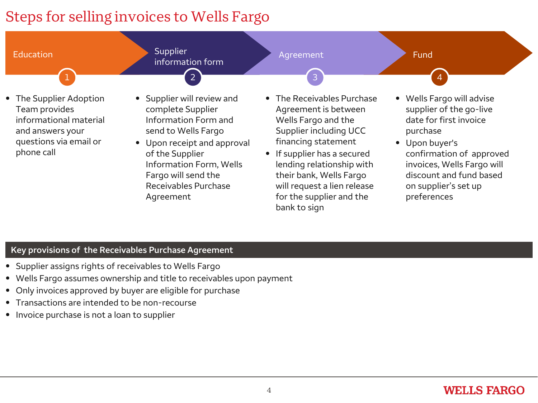# Steps for selling invoices to Wells Fargo



#### **Key provisions of the Receivables Purchase Agreement**

- Supplier assigns rights of receivables to Wells Fargo
- Wells Fargo assumes ownership and title to receivables upon payment
- Only invoices approved by buyer are eligible for purchase
- Transactions are intended to be non-recourse
- Invoice purchase is not a loan to supplier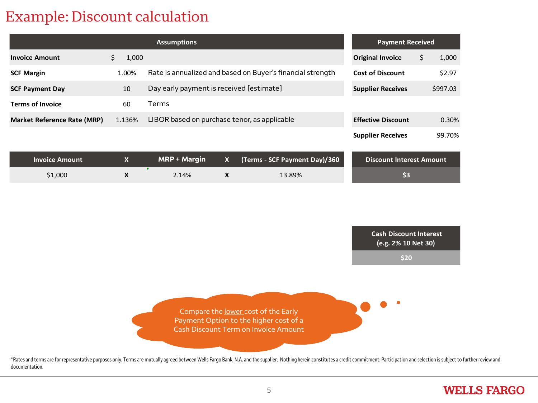## Example: Discount calculation

documentation.

|                                    | <b>Assumptions</b> |                  |                                                            |                    |                                                                                                                       |     | <b>Payment Received</b>                                      |    |          |  |
|------------------------------------|--------------------|------------------|------------------------------------------------------------|--------------------|-----------------------------------------------------------------------------------------------------------------------|-----|--------------------------------------------------------------|----|----------|--|
| <b>Invoice Amount</b>              | \$                 | 1,000            |                                                            |                    |                                                                                                                       |     | <b>Original Invoice</b>                                      | \$ | 1,000    |  |
| <b>SCF Margin</b>                  |                    | 1.00%            | Rate is annualized and based on Buyer's financial strength |                    |                                                                                                                       |     | <b>Cost of Discount</b>                                      |    | \$2.97   |  |
| <b>SCF Payment Day</b>             |                    | 10               | Day early payment is received [estimate]                   |                    |                                                                                                                       |     | <b>Supplier Receives</b>                                     |    | \$997.03 |  |
| <b>Terms of Invoice</b>            |                    | 60<br>Terms      |                                                            |                    |                                                                                                                       |     |                                                              |    |          |  |
| <b>Market Reference Rate (MRP)</b> |                    | 1.136%           | LIBOR based on purchase tenor, as applicable               |                    |                                                                                                                       |     | <b>Effective Discount</b>                                    |    | 0.30%    |  |
|                                    |                    |                  |                                                            |                    |                                                                                                                       |     | <b>Supplier Receives</b>                                     |    | 99.70%   |  |
| <b>Invoice Amount</b>              |                    | $\mathbf{x}$     | <b>MRP + Margin</b>                                        | $\mathbf{x}$       | (Terms - SCF Payment Day)/360                                                                                         |     | <b>Discount Interest Amount</b>                              |    |          |  |
| \$1,000                            |                    | $\boldsymbol{X}$ | 2.14%                                                      | $\pmb{\mathsf{X}}$ | 13.89%                                                                                                                | \$3 |                                                              |    |          |  |
|                                    |                    |                  |                                                            |                    | Compare the lower cost of the Early<br>Payment Option to the higher cost of a<br>Cash Discount Term on Invoice Amount |     | <b>Cash Discount Interest</b><br>(e.g. 2% 10 Net 30)<br>\$20 |    |          |  |
|                                    |                    |                  |                                                            |                    |                                                                                                                       |     |                                                              |    |          |  |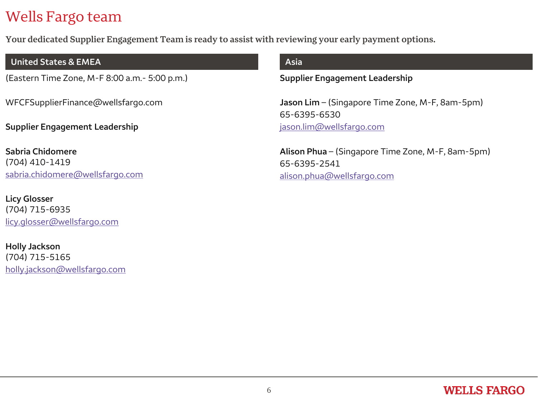# Wells Fargo team

**Your dedicated Supplier Engagement Team is ready to assist with reviewing your early payment options.**

#### **United States & EMEA**

(Eastern Time Zone, M-F 8:00 a.m.- 5:00 p.m.)

WFCFSupplierFinance@wellsfargo.com

**Supplier Engagement Leadership**

**Sabria Chidomere** (704) 410-1419 [sabria.chidomere@wellsfargo.com](mailto:sabria.chidomere@wellsfargo.com)

**Licy Glosser** (704) 715-6935 [licy.glosser@wellsfargo.com](mailto:licy.glosser@wellsfargo.com)

**Holly Jackson** (704) 715-5165 [holly.jackson@wellsfargo.com](mailto:holly.jackson@wellsfargo.com)

#### **Asia**

**Supplier Engagement Leadership**

**Jason Lim** – (Singapore Time Zone, M-F, 8am-5pm) 65-6395-6530 [jason.lim@wellsfargo.com](mailto:jason.lim@wellsfargo.com)

**Alison Phua** – (Singapore Time Zone, M-F, 8am-5pm) 65-6395-2541 [alison.phua@wellsfargo.com](mailto:alison.phua@wellsfargo.com)